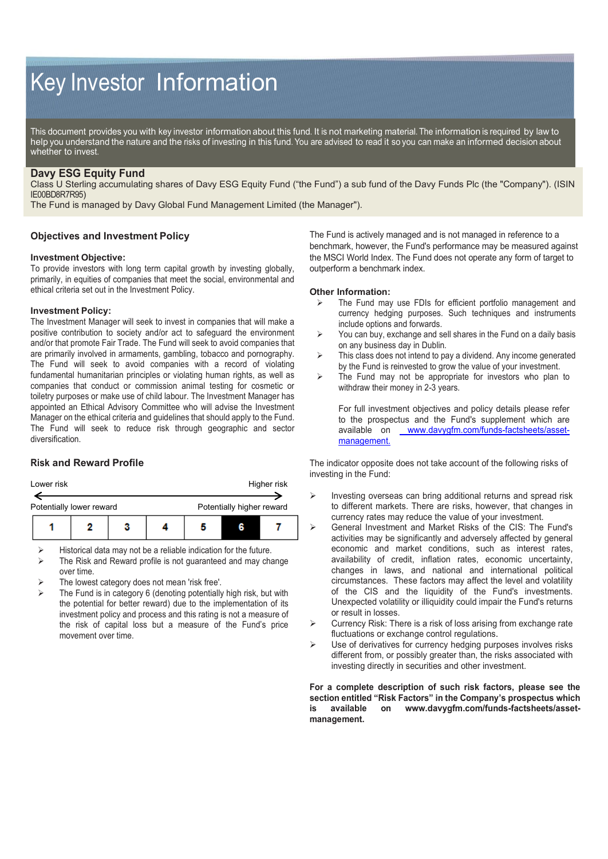# Key Investor Information

This document provides you with key investor information about this fund. It is not marketing material. The information is required by law to help you understand the nature and the risks of investing in this fund. You are advised to read it so you can make an informed decision about whether to invest.

# **Davy ESG Equity Fund**

Class U Sterling accumulating shares of Davy ESG Equity Fund ("the Fund") a sub fund of the Davy Funds Plc (the "Company"). (ISIN IE00BD8R7R95)

The Fund is managed by Davy Global Fund Management Limited (the Manager").

## **Objectives and Investment Policy**

### **Investment Objective:**

To provide investors with long term capital growth by investing globally, primarily, in equities of companies that meet the social, environmental and ethical criteria set out in the Investment Policy.

## **Investment Policy:**

The Investment Manager will seek to invest in companies that will make a positive contribution to society and/or act to safeguard the environment and/or that promote Fair Trade. The Fund will seek to avoid companies that are primarily involved in armaments, gambling, tobacco and pornography. The Fund will seek to avoid companies with a record of violating fundamental humanitarian principles or violating human rights, as well as companies that conduct or commission animal testing for cosmetic or toiletry purposes or make use of child labour. The Investment Manager has appointed an Ethical Advisory Committee who will advise the Investment Manager on the ethical criteria and guidelines that should apply to the Fund. The Fund will seek to reduce risk through geographic and sector diversification.

# **Risk and Reward Profile**

| Lower risk               |  | Higher risk               |  |   |  |
|--------------------------|--|---------------------------|--|---|--|
| Potentially lower reward |  | Potentially higher reward |  |   |  |
|                          |  |                           |  | R |  |

Historical data may not be a reliable indication for the future.

- $\triangleright$  The Risk and Reward profile is not guaranteed and may change over time.
- The lowest category does not mean 'risk free'.
- The Fund is in category 6 (denoting potentially high risk, but with the potential for better reward) due to the implementation of its investment policy and process and this rating is not a measure of the risk of capital loss but a measure of the Fund's price movement over time.

The Fund is actively managed and is not managed in reference to a benchmark, however, the Fund's performance may be measured against the MSCI World Index. The Fund does not operate any form of target to outperform a benchmark index.

### **Other Information:**

- $\triangleright$  The Fund may use FDIs for efficient portfolio management and currency hedging purposes. Such techniques and instruments include options and forwards.
- $\triangleright$  You can buy, exchange and sell shares in the Fund on a daily basis on any business day in Dublin.
- $\triangleright$  This class does not intend to pay a dividend. Any income generated by the Fund is reinvested to grow the value of your investment.
- $\triangleright$  The Fund may not be appropriate for investors who plan to withdraw their money in 2-3 years.

For full investment objectives and policy details please refer to the prospectus and the Fund's supplement which are available on [www.davygfm.com/funds-factsheets/asset](http://./)[management.](http://./)

The indicator opposite does not take account of the following risks of investing in the Fund:

- Investing overseas can bring additional returns and spread risk to different markets. There are risks, however, that changes in currency rates may reduce the value of your investment.
- General Investment and Market Risks of the CIS: The Fund's activities may be significantly and adversely affected by general economic and market conditions, such as interest rates, availability of credit, inflation rates, economic uncertainty, changes in laws, and national and international political circumstances. These factors may affect the level and volatility of the CIS and the liquidity of the Fund's investments. Unexpected volatility or illiquidity could impair the Fund's returns or result in losses.
- Currency Risk: There is a risk of loss arising from exchange rate fluctuations or exchange control regulations.
- Use of derivatives for currency hedging purposes involves risks different from, or possibly greater than, the risks associated with investing directly in securities and other investment.

**For a complete description of such risk factors, please see the section entitled "Risk Factors" in the Company's prospectus which is available on www.davygfm.com/funds-factsheets/assetmanagement.**